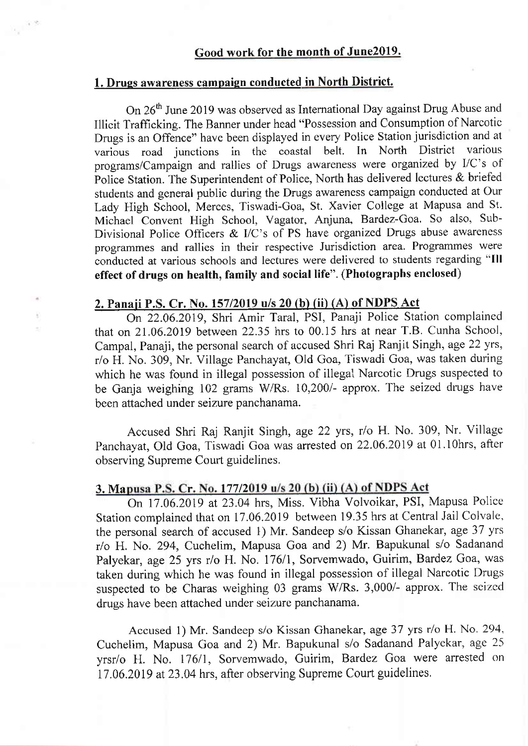#### 1. Drugs awareness campaign conducted in North District.

 $\sqrt{1.3}$ 

On 26<sup>th</sup> June 2019 was observed as International Day against Drug Abuse and Illicit Trafficking. The Banner under head "Possession and Consumption of Narcotic Drugs is an Offence" have been displayed in every Police Station jurisdiction and at various road junctions in the coastal belt. In North District various programs/Campaign and rallies of Drugs awareness were organized by I/C's of Police Station. The Superintendent of Police, North has delivered lectures & briefed students and general public during the Drugs awareness campaign conducted at Our Lady High School, Merces, Tiswadi-Goa, St. Xavier College at Mapusa and St. Michael Convent High School, Vagator, Anjuna, Bardez-Goa. So also, Sub-Divisional Police Officers & I/C's of PS have organized Drugs abuse awareness programmes and rallies in their respective Jurisdiction area. Programmes were conducted at various schools and lectures were delivered to students regarding "Ill effect of drugs on health, family and social life". (Photographs enclosed)

## 2. Panaji P.S. Cr. No. 157/2019 u/s 20 (b) (ii) (A) of NDPS Act

On 22.06.2019, Shri Amir Taral, PSI, Panaji Police Station complained that on  $21.06.2019$  between  $22.35$  hrs to  $00.15$  hrs at near T.B. Cunha School, Campal, Panaji, the personal search of accused Shri Raj Ranjit Singh, age 22 yrs, r/o H. No. 309, Nr. Village Panchayat, Old Goa, Tiswadi Goa, was taken during which he was found in illegal possession of illegal Narcotic Drugs suspected to be Ganja weighing 102 grams W/Rs. 10,200/- approx. The seized drugs have been attached under seizure panchanama.

Accused Shri Raj Ranjit Singh, age 22 yrs, r/o H. No. 309, Nr. Village Panchayat, Old Goa, Tiswadi Goa was arrested on22.06.2019 at 0l.l0hrs, after observing Supreme Court guidelines.

#### 3. Mapusa P.S. Cr. No. 177/2019 u/s 20 (b) (ii) (A) of NDPS Act

On 17.06.2019 at 23.04 hrs, Miss. Vibha Volvoikar, PSI, Mapusa Police Station complained that on 17.06.2019 between 19.35 hrs at Central Jail Colvale, the personal search of accused 1) Mr. Sandeep s/o Kissan Ghanekar, age 37 yrs r/o H. No. 294, Cuchelim, Mapusa Goa and 2) Mr. Bapukunal s/o Sadanand Palyekar, age 25 yrs r/o H. No. 176/1, Sorvemwado, Guirim, Bardez Goa, was taken during which he was found in illegal possession of illegal Narcotic Drugs suspected to be Charas weighing 03 grams W/Rs. 3,000/- approx. The seized drugs have been attached under seizure panchanama.

Accused 1) Mr. Sandeep s/o Kissan Ghanekar, age 37 yrs r/o H. No. 294, Cuchelim, Mapusa Goa and 2) Mr. Bapukunal s/o Sadanand Palyekar, age 25 yrsr/o H. No. 176/1, Sorvemwado, Guirim, Bardez Goa were arrested on 17.06.2019 at 23.04 hrs, after observing Supreme Court guidelines.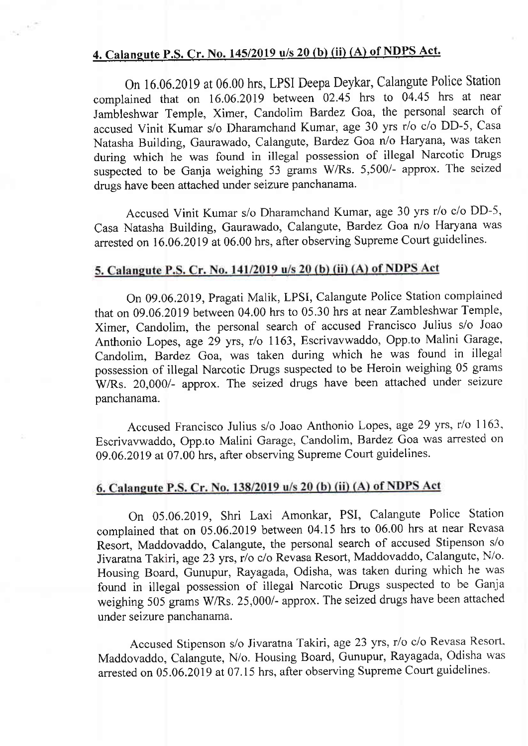## 4. Calangute P.S. Cr. No. 145/2019  $u/s$  20 (b) (ii) (A) of NDPS Act.

on 16.06.2019 at 06.00 hrs, LPSI Deepa Deykar, calangute Police station complained that on 16.06.2019 between 02.45 hrs to 04.45 hrs at near Jambleshwar Temple, Ximer, Candolim Bardez Goa, the personal search of accused Vinit Kumar s/o Dharamchand Kumar, age 30 yrs r/o c/o DD-5, Casa Natasha Building, Gaurawado, Calangute, Batdez Goa n/o Haryana, was taken during which he was found in illegal possession of illegal Narcotic Drugs suspected to be Ganja weighing 53 grams W/Rs. 5,500/- approx. The seized drugs have been attached under seizure panchanama.

Accused Vinit Kumar s/o Dharamchand Kumar, age 30 yrs r/o c/o DD-5, Casa Natasha Building, Gaurawado, Calangute, Batdez Goa n/o Haryana was arrested on 16.06.2019 at 06.00 hrs, after observing Supreme Court guidelines.

### 5. Calangute P.S. Cr. No. 141/2019 u/s 20 (b) (ii) (A) of NDPS Act

On 09.06.2019, Pragati Malik, LPSI, Calangute Police Station complained that on 09.06.2019 between 04.00 hrs to 05.30 hrs at near Zambleshwar Temple, Ximer, Candolim, the personal search of accused Francisco Julius s/o Joao Anthonio Lopes, age 29 yrs, r/o 1163, Escrivavwaddo, Opp.to Malini Garage, Candolim, Bardez Goa, was taken during which he was found in illegal possession of illegal Narcotic Drugs suspected to be Heroin weighing 05 grams WRs. 20,000/- approx. The seized drugs have been attached under seizure panchanama.

Accused Francisco Julius s/o Joao Anthonio Lopes, age 29 yrs, r/o I 163, Escrivavwaddo, Opp.to Malini Garage, Candolim, Bardez Goa was arrested on 09.06.2019 at 07.00 hrs, after observing Supreme Court guidelines.

### 6. Calangute P.S. Cr. No. 138/2019 u/s 20 (b) (ii) (A) of NDPS Act

On 05.06.2019, Shri Laxi Amonkar, PSI, Calangute Police Station complained that on 05.06.2019 between 04.15 hrs to 06.00 hrs at near Revasa Resort, Maddovaddo, Calangute, the personal search of accused Stipenson s/o Jivaratna Takiri, age 23 yrs, r/o c/o Revasa Resort, Maddovaddo, Calangute, N/o. Housing Board, Gunupur, Rayagada, Odisha, was taken during which he was found in illegal possession of iliegal Narcotic Drugs suspected to be Ganja weighing 505 grams W/Rs. 25,000/- approx. The seized drugs have been attached under seizure panchanama.

Accused Stipenson s/o Jivaratna Takiri, age 23 yrs, r/o c/o Revasa Resofl, Maddovaddo, Calangute, N/o. Housing Board, Gunupur, Rayagada, Odisha was arrested on 05.06.2019 at 07.15 hrs, after observing Supreme Court guidelines.